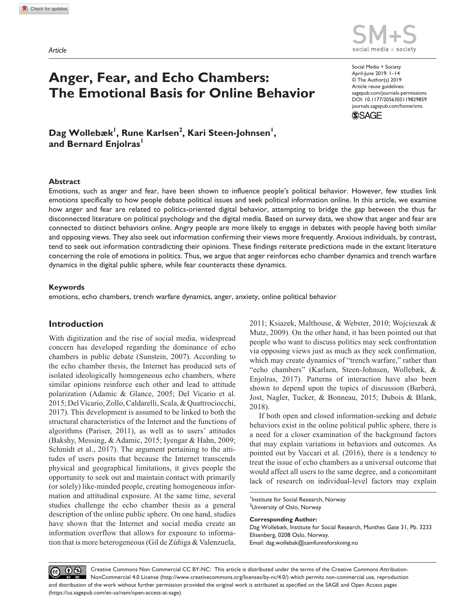

#### https://doi.org/10.1177/2056305119829859 DOI: 10.1177/2056305119829859 Social Media + Society April-June 2019: 1–14 © The Author(s) 2019 Article reuse guidelines: [sagepub.com/journals-permissions](https://uk.sagepub.com/en-gb/journals-permissions) [journals.sagepub.com/home/sms](https://journals.sagepub.com/home/sms) **The Emotional Basis for Online Behavior**

**SSAGE** 

Dag Wollebæk<sup>l</sup>, Rune Karlsen<sup>2</sup>, Kari Steen-Johnsen<sup>l</sup>, and Bernard Enjolras<sup>1</sup>

**Anger, Fear, and Echo Chambers:** 

### **Abstract**

Emotions, such as anger and fear, have been shown to influence people's political behavior. However, few studies link emotions specifically to how people debate political issues and seek political information online. In this article, we examine how anger and fear are related to politics-oriented digital behavior, attempting to bridge the gap between the thus far disconnected literature on political psychology and the digital media. Based on survey data, we show that anger and fear are connected to distinct behaviors online. Angry people are more likely to engage in debates with people having both similar and opposing views. They also seek out information confirming their views more frequently. Anxious individuals, by contrast, tend to seek out information contradicting their opinions. These findings reiterate predictions made in the extant literature concerning the role of emotions in politics. Thus, we argue that anger reinforces echo chamber dynamics and trench warfare dynamics in the digital public sphere, while fear counteracts these dynamics.

### **Keywords**

emotions, echo chambers, trench warfare dynamics, anger, anxiety, online political behavior

### **Introduction**

With digitization and the rise of social media, widespread concern has developed regarding the dominance of echo chambers in public debate (Sunstein, 2007). According to the echo chamber thesis, the Internet has produced sets of isolated ideologically homogeneous echo chambers, where similar opinions reinforce each other and lead to attitude polarization (Adamic & Glance, 2005; Del Vicario et al. 2015; Del Vicario, Zollo, Caldarelli, Scala, & Quattrociocchi, 2017). This development is assumed to be linked to both the structural characteristics of the Internet and the functions of algorithms (Pariser, 2011), as well as to users' attitudes (Bakshy, Messing, & Adamic, 2015; Iyengar & Hahn, 2009; Schmidt et al., 2017). The argument pertaining to the attitudes of users posits that because the Internet transcends physical and geographical limitations, it gives people the opportunity to seek out and maintain contact with primarily (or solely) like-minded people, creating homogeneous information and attitudinal exposure. At the same time, several studies challenge the echo chamber thesis as a general description of the online public sphere. On one hand, studies have shown that the Internet and social media create an information overflow that allows for exposure to information that is more heterogeneous (Gil de Zúñiga & Valenzuela,

2011; Ksiazek, Malthouse, & Webster, 2010; Wojcieszak & Mutz, 2009). On the other hand, it has been pointed out that people who want to discuss politics may seek confrontation via opposing views just as much as they seek confirmation, which may create dynamics of "trench warfare," rather than "echo chambers" (Karlsen, Steen-Johnsen, Wollebæk, & Enjolras, 2017). Patterns of interaction have also been shown to depend upon the topics of discussion (Barberá, Jost, Nagler, Tucker, & Bonneau, 2015; Dubois & Blank, 2018).

If both open and closed information-seeking and debate behaviors exist in the online political public sphere, there is a need for a closer examination of the background factors that may explain variations in behaviors and outcomes. As pointed out by Vaccari et al. (2016), there is a tendency to treat the issue of echo chambers as a universal outcome that would affect all users to the same degree, and a concomitant lack of research on individual-level factors may explain

#### **Corresponding Author:**

Dag Wollebæk, Institute for Social Research, Munthes Gate 31, Pb. 3233 Elisenberg, 0208 Oslo, Norway. Email: [dag.wollebak@samfunnsforskning.no](mailto:dag.wollebak@samfunnsforskning.no)

 $\odot$ Creative Commons Non Commercial CC BY-NC: This article is distributed under the terms of the Creative Commons Attribution- $\left(\mathrm{cc}\right)$ NonCommercial 4.0 License (http://www.creativecommons.org/licenses/by-nc/4.0/) which permits non-commercial use, reproduction and distribution of the work without further permission provided the original work is attributed as specified on the SAGE and Open Access pages (https://us.sagepub.com/en-us/nam/open-access-at-sage).

Institute for Social Research, Norway

<sup>&</sup>lt;sup>2</sup>University of Oslo, Norway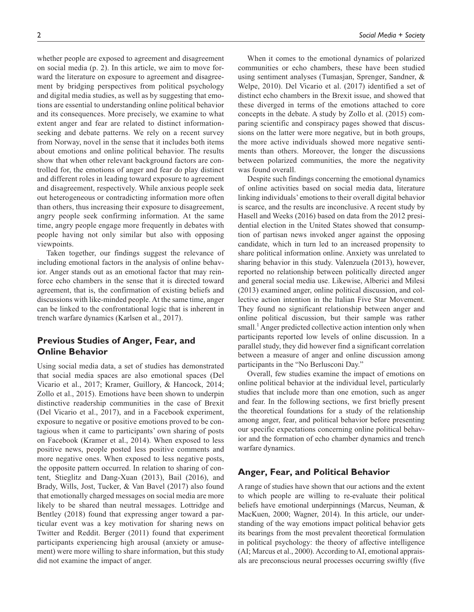whether people are exposed to agreement and disagreement on social media (p. 2). In this article, we aim to move forward the literature on exposure to agreement and disagreement by bridging perspectives from political psychology and digital media studies, as well as by suggesting that emotions are essential to understanding online political behavior and its consequences. More precisely, we examine to what extent anger and fear are related to distinct informationseeking and debate patterns. We rely on a recent survey from Norway, novel in the sense that it includes both items about emotions and online political behavior. The results show that when other relevant background factors are controlled for, the emotions of anger and fear do play distinct and different roles in leading toward exposure to agreement and disagreement, respectively. While anxious people seek out heterogeneous or contradicting information more often than others, thus increasing their exposure to disagreement, angry people seek confirming information. At the same time, angry people engage more frequently in debates with people having not only similar but also with opposing viewpoints.

Taken together, our findings suggest the relevance of including emotional factors in the analysis of online behavior. Anger stands out as an emotional factor that may reinforce echo chambers in the sense that it is directed toward agreement, that is, the confirmation of existing beliefs and discussions with like-minded people. At the same time, anger can be linked to the confrontational logic that is inherent in trench warfare dynamics (Karlsen et al., 2017).

# **Previous Studies of Anger, Fear, and Online Behavior**

Using social media data, a set of studies has demonstrated that social media spaces are also emotional spaces (Del Vicario et al., 2017; Kramer, Guillory, & Hancock, 2014; Zollo et al., 2015). Emotions have been shown to underpin distinctive readership communities in the case of Brexit (Del Vicario et al., 2017), and in a Facebook experiment, exposure to negative or positive emotions proved to be contagious when it came to participants' own sharing of posts on Facebook (Kramer et al., 2014). When exposed to less positive news, people posted less positive comments and more negative ones. When exposed to less negative posts, the opposite pattern occurred. In relation to sharing of content, Stieglitz and Dang-Xuan (2013), Bail (2016), and Brady, Wills, Jost, Tucker, & Van Bavel (2017) also found that emotionally charged messages on social media are more likely to be shared than neutral messages. Lottridge and Bentley (2018) found that expressing anger toward a particular event was a key motivation for sharing news on Twitter and Reddit. Berger (2011) found that experiment participants experiencing high arousal (anxiety or amusement) were more willing to share information, but this study did not examine the impact of anger.

2 *Social Media + Society*

When it comes to the emotional dynamics of polarized communities or echo chambers, these have been studied using sentiment analyses (Tumasjan, Sprenger, Sandner, & Welpe, 2010). Del Vicario et al. (2017) identified a set of distinct echo chambers in the Brexit issue, and showed that these diverged in terms of the emotions attached to core concepts in the debate. A study by Zollo et al. (2015) comparing scientific and conspiracy pages showed that discussions on the latter were more negative, but in both groups, the more active individuals showed more negative sentiments than others. Moreover, the longer the discussions between polarized communities, the more the negativity was found overall.

Despite such findings concerning the emotional dynamics of online activities based on social media data, literature linking individuals' emotions to their overall digital behavior is scarce, and the results are inconclusive. A recent study by Hasell and Weeks (2016) based on data from the 2012 presidential election in the United States showed that consumption of partisan news invoked anger against the opposing candidate, which in turn led to an increased propensity to share political information online. Anxiety was unrelated to sharing behavior in this study. Valenzuela (2013), however, reported no relationship between politically directed anger and general social media use. Likewise, Alberici and Milesi (2013) examined anger, online political discussion, and collective action intention in the Italian Five Star Movement. They found no significant relationship between anger and online political discussion, but their sample was rather small.<sup>1</sup> Anger predicted collective action intention only when participants reported low levels of online discussion. In a parallel study, they did however find a significant correlation between a measure of anger and online discussion among participants in the "No Berlusconi Day."

Overall, few studies examine the impact of emotions on online political behavior at the individual level, particularly studies that include more than one emotion, such as anger and fear. In the following sections, we first briefly present the theoretical foundations for a study of the relationship among anger, fear, and political behavior before presenting our specific expectations concerning online political behavior and the formation of echo chamber dynamics and trench warfare dynamics.

## **Anger, Fear, and Political Behavior**

A range of studies have shown that our actions and the extent to which people are willing to re-evaluate their political beliefs have emotional underpinnings (Marcus, Neuman, & MacKuen, 2000; Wagner, 2014). In this article, our understanding of the way emotions impact political behavior gets its bearings from the most prevalent theoretical formulation in political psychology: the theory of affective intelligence (AI; Marcus et al., 2000). According to AI, emotional appraisals are preconscious neural processes occurring swiftly (five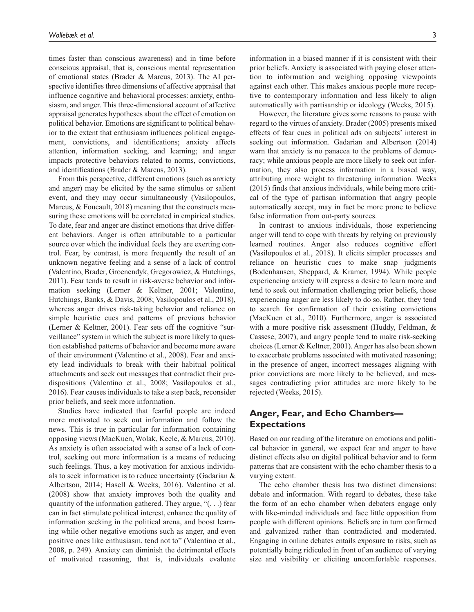times faster than conscious awareness) and in time before conscious appraisal, that is, conscious mental representation of emotional states (Brader & Marcus, 2013). The AI perspective identifies three dimensions of affective appraisal that influence cognitive and behavioral processes: anxiety, enthusiasm, and anger. This three-dimensional account of affective appraisal generates hypotheses about the effect of emotion on political behavior. Emotions are significant to political behavior to the extent that enthusiasm influences political engagement, convictions, and identifications; anxiety affects attention, information seeking, and learning; and anger impacts protective behaviors related to norms, convictions, and identifications (Brader & Marcus, 2013).

From this perspective, different emotions (such as anxiety and anger) may be elicited by the same stimulus or salient event, and they may occur simultaneously (Vasilopoulos, Marcus, & Foucault, 2018) meaning that the constructs measuring these emotions will be correlated in empirical studies. To date, fear and anger are distinct emotions that drive different behaviors. Anger is often attributable to a particular source over which the individual feels they are exerting control. Fear, by contrast, is more frequently the result of an unknown negative feeling and a sense of a lack of control (Valentino, Brader, Groenendyk, Gregorowicz, & Hutchings, 2011). Fear tends to result in risk-averse behavior and information seeking (Lerner & Keltner, 2001; Valentino, Hutchings, Banks, & Davis, 2008; Vasilopoulos et al., 2018), whereas anger drives risk-taking behavior and reliance on simple heuristic cues and patterns of previous behavior (Lerner & Keltner, 2001). Fear sets off the cognitive "surveillance" system in which the subject is more likely to question established patterns of behavior and become more aware of their environment (Valentino et al., 2008). Fear and anxiety lead individuals to break with their habitual political attachments and seek out messages that contradict their predispositions (Valentino et al., 2008; Vasilopoulos et al., 2016). Fear causes individuals to take a step back, reconsider prior beliefs, and seek more information.

Studies have indicated that fearful people are indeed more motivated to seek out information and follow the news. This is true in particular for information containing opposing views (MacKuen, Wolak, Keele, & Marcus, 2010). As anxiety is often associated with a sense of a lack of control, seeking out more information is a means of reducing such feelings. Thus, a key motivation for anxious individuals to seek information is to reduce uncertainty (Gadarian & Albertson, 2014; Hasell & Weeks, 2016). Valentino et al. (2008) show that anxiety improves both the quality and quantity of the information gathered. They argue, "(. . .) fear can in fact stimulate political interest, enhance the quality of information seeking in the political arena, and boost learning while other negative emotions such as anger, and even positive ones like enthusiasm, tend not to" (Valentino et al., 2008, p. 249). Anxiety can diminish the detrimental effects of motivated reasoning, that is, individuals evaluate

information in a biased manner if it is consistent with their prior beliefs. Anxiety is associated with paying closer attention to information and weighing opposing viewpoints against each other. This makes anxious people more receptive to contemporary information and less likely to align automatically with partisanship or ideology (Weeks, 2015).

However, the literature gives some reasons to pause with regard to the virtues of anxiety. Brader (2005) presents mixed effects of fear cues in political ads on subjects' interest in seeking out information. Gadarian and Albertson (2014) warn that anxiety is no panacea to the problems of democracy; while anxious people are more likely to seek out information, they also process information in a biased way, attributing more weight to threatening information. Weeks (2015) finds that anxious individuals, while being more critical of the type of partisan information that angry people automatically accept, may in fact be more prone to believe false information from out-party sources.

In contrast to anxious individuals, those experiencing anger will tend to cope with threats by relying on previously learned routines. Anger also reduces cognitive effort (Vasilopoulos et al., 2018). It elicits simpler processes and reliance on heuristic cues to make snap judgments (Bodenhausen, Sheppard, & Kramer, 1994). While people experiencing anxiety will express a desire to learn more and tend to seek out information challenging prior beliefs, those experiencing anger are less likely to do so. Rather, they tend to search for confirmation of their existing convictions (MacKuen et al., 2010). Furthermore, anger is associated with a more positive risk assessment (Huddy, Feldman, & Cassese, 2007), and angry people tend to make risk-seeking choices (Lerner & Keltner, 2001). Anger has also been shown to exacerbate problems associated with motivated reasoning; in the presence of anger, incorrect messages aligning with prior convictions are more likely to be believed, and messages contradicting prior attitudes are more likely to be rejected (Weeks, 2015).

# **Anger, Fear, and Echo Chambers— Expectations**

Based on our reading of the literature on emotions and political behavior in general, we expect fear and anger to have distinct effects also on digital political behavior and to form patterns that are consistent with the echo chamber thesis to a varying extent.

The echo chamber thesis has two distinct dimensions: debate and information. With regard to debates, these take the form of an echo chamber when debaters engage only with like-minded individuals and face little opposition from people with different opinions. Beliefs are in turn confirmed and galvanized rather than contradicted and moderated. Engaging in online debates entails exposure to risks, such as potentially being ridiculed in front of an audience of varying size and visibility or eliciting uncomfortable responses.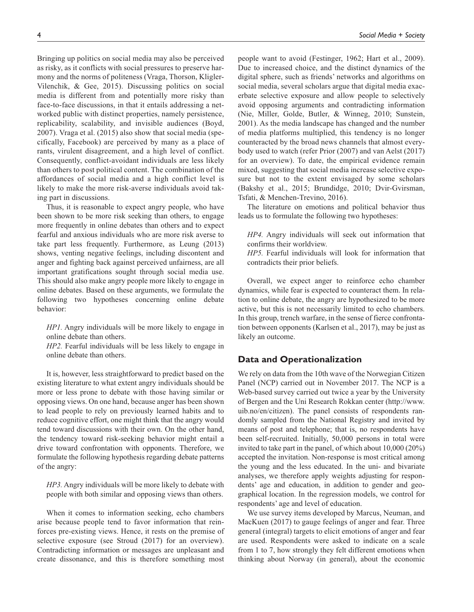Bringing up politics on social media may also be perceived as risky, as it conflicts with social pressures to preserve harmony and the norms of politeness (Vraga, Thorson, Kligler-Vilenchik, & Gee, 2015). Discussing politics on social media is different from and potentially more risky than face-to-face discussions, in that it entails addressing a networked public with distinct properties, namely persistence, replicability, scalability, and invisible audiences (Boyd, 2007). Vraga et al. (2015) also show that social media (specifically, Facebook) are perceived by many as a place of rants, virulent disagreement, and a high level of conflict. Consequently, conflict-avoidant individuals are less likely than others to post political content. The combination of the affordances of social media and a high conflict level is likely to make the more risk-averse individuals avoid taking part in discussions.

Thus, it is reasonable to expect angry people, who have been shown to be more risk seeking than others, to engage more frequently in online debates than others and to expect fearful and anxious individuals who are more risk averse to take part less frequently. Furthermore, as Leung (2013) shows, venting negative feelings, including discontent and anger and fighting back against perceived unfairness, are all important gratifications sought through social media use. This should also make angry people more likely to engage in online debates. Based on these arguments, we formulate the following two hypotheses concerning online debate behavior:

*HP1.* Angry individuals will be more likely to engage in online debate than others.

*HP2.* Fearful individuals will be less likely to engage in online debate than others.

It is, however, less straightforward to predict based on the existing literature to what extent angry individuals should be more or less prone to debate with those having similar or opposing views. On one hand, because anger has been shown to lead people to rely on previously learned habits and to reduce cognitive effort, one might think that the angry would tend toward discussions with their own. On the other hand, the tendency toward risk-seeking behavior might entail a drive toward confrontation with opponents. Therefore, we formulate the following hypothesis regarding debate patterns of the angry:

*HP3.* Angry individuals will be more likely to debate with people with both similar and opposing views than others.

When it comes to information seeking, echo chambers arise because people tend to favor information that reinforces pre-existing views. Hence, it rests on the premise of selective exposure (see Stroud (2017) for an overview). Contradicting information or messages are unpleasant and create dissonance, and this is therefore something most

people want to avoid (Festinger, 1962; Hart et al., 2009). Due to increased choice, and the distinct dynamics of the digital sphere, such as friends' networks and algorithms on social media, several scholars argue that digital media exacerbate selective exposure and allow people to selectively avoid opposing arguments and contradicting information (Nie, Miller, Golde, Butler, & Winneg, 2010; Sunstein, 2001). As the media landscape has changed and the number of media platforms multiplied, this tendency is no longer counteracted by the broad news channels that almost everybody used to watch (refer Prior (2007) and van Aelst (2017) for an overview). To date, the empirical evidence remain mixed, suggesting that social media increase selective exposure but not to the extent envisaged by some scholars (Bakshy et al., 2015; Brundidge, 2010; Dvir-Gvirsman, Tsfati, & Menchen-Trevino, 2016).

The literature on emotions and political behavior thus leads us to formulate the following two hypotheses:

*HP4.* Angry individuals will seek out information that confirms their worldview.

*HP5.* Fearful individuals will look for information that contradicts their prior beliefs.

Overall, we expect anger to reinforce echo chamber dynamics, while fear is expected to counteract them. In relation to online debate, the angry are hypothesized to be more active, but this is not necessarily limited to echo chambers. In this group, trench warfare, in the sense of fierce confrontation between opponents (Karlsen et al., 2017), may be just as likely an outcome.

### **Data and Operationalization**

We rely on data from the 10th wave of the Norwegian Citizen Panel (NCP) carried out in November 2017. The NCP is a Web-based survey carried out twice a year by the University of Bergen and the Uni Research Rokkan center ([http://www.](http://www.uib.no/en/citizen) [uib.no/en/citizen](http://www.uib.no/en/citizen)). The panel consists of respondents randomly sampled from the National Registry and invited by means of post and telephone; that is, no respondents have been self-recruited. Initially, 50,000 persons in total were invited to take part in the panel, of which about 10,000 (20%) accepted the invitation. Non-response is most critical among the young and the less educated. In the uni- and bivariate analyses, we therefore apply weights adjusting for respondents' age and education, in addition to gender and geographical location. In the regression models, we control for respondents' age and level of education.

We use survey items developed by Marcus, Neuman, and MacKuen (2017) to gauge feelings of anger and fear. Three general (integral) targets to elicit emotions of anger and fear are used. Respondents were asked to indicate on a scale from 1 to 7, how strongly they felt different emotions when thinking about Norway (in general), about the economic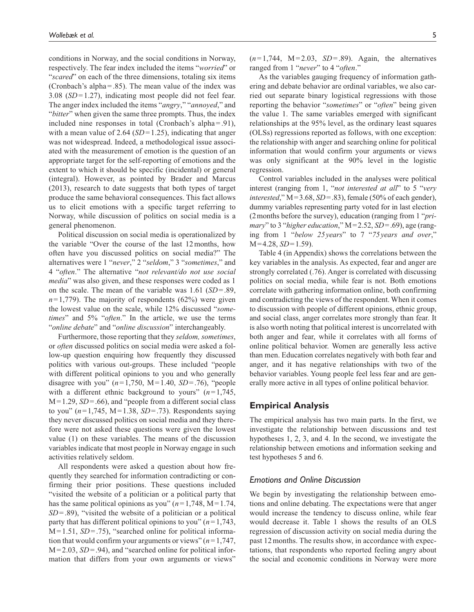conditions in Norway, and the social conditions in Norway, respectively. The fear index included the items "*worried*" or "*scared*" on each of the three dimensions, totaling six items (Cronbach's alpha=.85). The mean value of the index was 3.08 (*SD*=1.27), indicating most people did not feel fear. The anger index included the items "*angry*," "*annoyed*," and "*bitter*" when given the same three prompts. Thus, the index included nine responses in total (Cronbach's alpha=.91), with a mean value of 2.64 (*SD*=1.25), indicating that anger was not widespread. Indeed, a methodological issue associated with the measurement of emotion is the question of an appropriate target for the self-reporting of emotions and the extent to which it should be specific (incidental) or general (integral). However, as pointed by Brader and Marcus (2013), research to date suggests that both types of target produce the same behavioral consequences. This fact allows us to elicit emotions with a specific target referring to Norway, while discussion of politics on social media is a general phenomenon.

Political discussion on social media is operationalized by the variable "Over the course of the last 12months, how often have you discussed politics on social media?" The alternatives were 1 "*never*," 2 "*seldom*," 3 "*sometimes*," and 4 "*often*." The alternative "*not relevant/do not use social media*" was also given, and these responses were coded as 1 on the scale. The mean of the variable was 1.61 (*SD*=.89,  $n=1,779$ ). The majority of respondents (62%) were given the lowest value on the scale, while 12% discussed "*sometimes*" and 5% "*often*." In the article, we use the terms "*online debate*" and "*online discussion*" interchangeably.

Furthermore, those reporting that they *seldom, sometimes*, or *often* discussed politics on social media were asked a follow-up question enquiring how frequently they discussed politics with various out-groups. These included "people with different political opinions to you and who generally disagree with you"  $(n=1,750, M=1.40, SD=.76)$ , "people with a different ethnic background to yours" (*n*=1,745, M=1.29, *SD*=.66), and "people from a different social class to you" (*n*=1,745, M=1.38, *SD*=.73). Respondents saying they never discussed politics on social media and they therefore were not asked these questions were given the lowest value (1) on these variables. The means of the discussion variables indicate that most people in Norway engage in such activities relatively seldom.

All respondents were asked a question about how frequently they searched for information contradicting or confirming their prior positions. These questions included "visited the website of a politician or a political party that has the same political opinions as you"  $(n=1,748, M=1.74,$ *SD*=.89), "visited the website of a politician or a political party that has different political opinions to you" (*n*=1,743, M=1.51, *SD*=.75), "searched online for political information that would confirm your arguments or views" (*n*=1,747, M=2.03, *SD*=.94), and "searched online for political information that differs from your own arguments or views"

 $(n=1,744, M=2.03, SD=.89)$ . Again, the alternatives ranged from 1 "*never*" to 4 "*often*."

As the variables gauging frequency of information gathering and debate behavior are ordinal variables, we also carried out separate binary logistical regressions with those reporting the behavior "*sometimes*" or "*often*" being given the value 1. The same variables emerged with significant relationships at the 95% level, as the ordinary least squares (OLSs) regressions reported as follows, with one exception: the relationship with anger and searching online for political information that would confirm your arguments or views was only significant at the 90% level in the logistic regression.

Control variables included in the analyses were political interest (ranging from 1, "*not interested at all*" to 5 "*very interested*," M=3.68, *SD*=.83), female (50% of each gender), dummy variables representing party voted for in last election (2months before the survey), education (ranging from 1 "*primary*" to 3 "*higher education*," M=2.52, *SD*=.69), age (ranging from 1 "*below 25years*" to 7 "*75years and over*," M=4.28, *SD*=1.59).

Table 4 (in Appendix) shows the correlations between the key variables in the analysis. As expected, fear and anger are strongly correlated (.76). Anger is correlated with discussing politics on social media, while fear is not. Both emotions correlate with gathering information online, both confirming and contradicting the views of the respondent. When it comes to discussion with people of different opinions, ethnic group, and social class, anger correlates more strongly than fear. It is also worth noting that political interest is uncorrelated with both anger and fear, while it correlates with all forms of online political behavior. Women are generally less active than men. Education correlates negatively with both fear and anger, and it has negative relationships with two of the behavior variables. Young people feel less fear and are generally more active in all types of online political behavior.

### **Empirical Analysis**

The empirical analysis has two main parts. In the first, we investigate the relationship between discussions and test hypotheses 1, 2, 3, and 4. In the second, we investigate the relationship between emotions and information seeking and test hypotheses 5 and 6.

### *Emotions and Online Discussion*

We begin by investigating the relationship between emotions and online debating. The expectations were that anger would increase the tendency to discuss online, while fear would decrease it. Table 1 shows the results of an OLS regression of discussion activity on social media during the past 12months. The results show, in accordance with expectations, that respondents who reported feeling angry about the social and economic conditions in Norway were more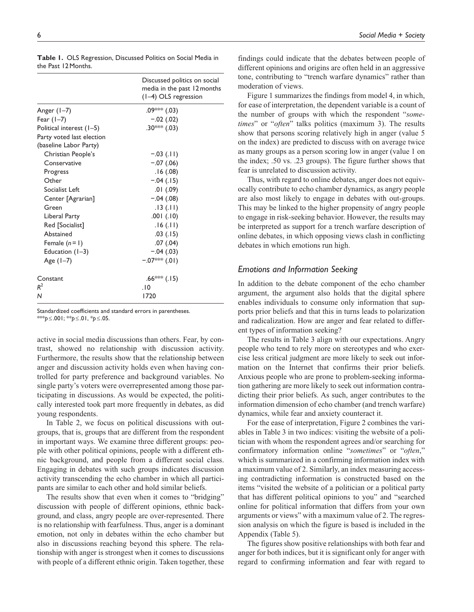|                                                     | Discussed politics on social<br>media in the past 12 months<br>(1-4) OLS regression |
|-----------------------------------------------------|-------------------------------------------------------------------------------------|
| Anger (1-7)                                         | $.09***$ $(.03)$                                                                    |
| Fear $(1-7)$                                        | $-.02(.02)$                                                                         |
| Political interest (1-5)                            | .30*** (.03)                                                                        |
| Party voted last election<br>(baseline Labor Party) |                                                                                     |
| Christian People's                                  | $-.03$ (.11)                                                                        |
| Conservative                                        | $-.07(.06)$                                                                         |
| Progress                                            | .16(0.08)                                                                           |
| Other                                               | $-.04(.15)$                                                                         |
| Socialist Left                                      | $.01$ $(.09)$                                                                       |
| Center [Agrarian]                                   | $-.04(.08)$                                                                         |
| Green                                               | .13(.11)                                                                            |
| Liberal Party                                       | .001(.10)                                                                           |
| Red [Socialist]                                     | .16(.11)                                                                            |
| Abstained                                           | .03(.15)                                                                            |
| Female $(n=1)$                                      | .07(.04)                                                                            |
| Education $(1-3)$                                   | $-.04(.03)$                                                                         |
| Age $(1-7)$                                         | $-07$ ** (.01)                                                                      |
| Constant                                            | $.66***$ (.15)                                                                      |
| $R^2$                                               | .10                                                                                 |
| N                                                   | 1720                                                                                |

**Table 1.** OLS Regression, Discussed Politics on Social Media in the Past 12Months.

Standardized coefficients and standard errors in parentheses. \*\*\**p*≤.001; \*\**p*≤.01, \**p*≤.05.

active in social media discussions than others. Fear, by contrast, showed no relationship with discussion activity. Furthermore, the results show that the relationship between anger and discussion activity holds even when having controlled for party preference and background variables. No single party's voters were overrepresented among those participating in discussions. As would be expected, the politically interested took part more frequently in debates, as did young respondents.

In Table 2, we focus on political discussions with outgroups, that is, groups that are different from the respondent in important ways. We examine three different groups: people with other political opinions, people with a different ethnic background, and people from a different social class. Engaging in debates with such groups indicates discussion activity transcending the echo chamber in which all participants are similar to each other and hold similar beliefs.

The results show that even when it comes to "bridging" discussion with people of different opinions, ethnic background, and class, angry people are over-represented. There is no relationship with fearfulness. Thus, anger is a dominant emotion, not only in debates within the echo chamber but also in discussions reaching beyond this sphere. The relationship with anger is strongest when it comes to discussions with people of a different ethnic origin. Taken together, these

findings could indicate that the debates between people of different opinions and origins are often held in an aggressive tone, contributing to "trench warfare dynamics" rather than moderation of views.

Figure 1 summarizes the findings from model 4, in which, for ease of interpretation, the dependent variable is a count of the number of groups with which the respondent "*sometimes*" or "*often*" talks politics (maximum 3). The results show that persons scoring relatively high in anger (value 5 on the index) are predicted to discuss with on average twice as many groups as a person scoring low in anger (value 1 on the index; .50 vs. .23 groups). The figure further shows that fear is unrelated to discussion activity.

Thus, with regard to online debates, anger does not equivocally contribute to echo chamber dynamics, as angry people are also most likely to engage in debates with out-groups. This may be linked to the higher propensity of angry people to engage in risk-seeking behavior. However, the results may be interpreted as support for a trench warfare description of online debates, in which opposing views clash in conflicting debates in which emotions run high.

### *Emotions and Information Seeking*

In addition to the debate component of the echo chamber argument, the argument also holds that the digital sphere enables individuals to consume only information that supports prior beliefs and that this in turns leads to polarization and radicalization. How are anger and fear related to different types of information seeking?

The results in Table 3 align with our expectations. Angry people who tend to rely more on stereotypes and who exercise less critical judgment are more likely to seek out information on the Internet that confirms their prior beliefs. Anxious people who are prone to problem-seeking information gathering are more likely to seek out information contradicting their prior beliefs. As such, anger contributes to the information dimension of echo chamber (and trench warfare) dynamics, while fear and anxiety counteract it.

For the ease of interpretation, Figure 2 combines the variables in Table 3 in two indices: visiting the website of a politician with whom the respondent agrees and/or searching for confirmatory information online "*sometimes*" or "*often*," which is summarized in a confirming information index with a maximum value of 2. Similarly, an index measuring accessing contradicting information is constructed based on the items "visited the website of a politician or a political party that has different political opinions to you" and "searched online for political information that differs from your own arguments or views" with a maximum value of 2. The regression analysis on which the figure is based is included in the Appendix (Table 5).

The figures show positive relationships with both fear and anger for both indices, but it is significant only for anger with regard to confirming information and fear with regard to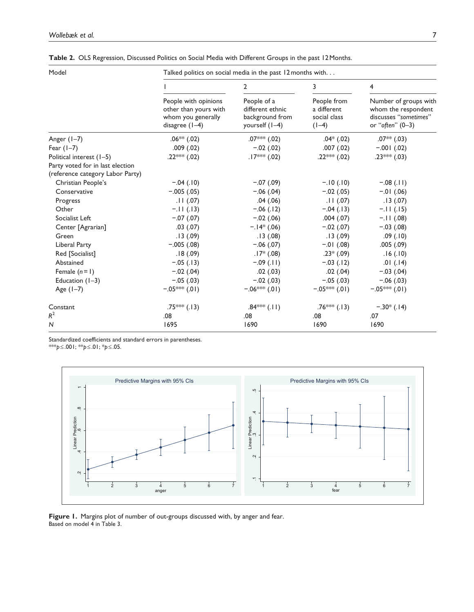| Model                                                                | Talked politics on social media in the past 12 months with                              |                                                                      |                                                       |                                                                                           |  |
|----------------------------------------------------------------------|-----------------------------------------------------------------------------------------|----------------------------------------------------------------------|-------------------------------------------------------|-------------------------------------------------------------------------------------------|--|
|                                                                      |                                                                                         | 2                                                                    | 3                                                     | 4                                                                                         |  |
|                                                                      | People with opinions<br>other than yours with<br>whom you generally<br>disagree $(1-4)$ | People of a<br>different ethnic<br>background from<br>yourself (1–4) | People from<br>a different<br>social class<br>$(1-4)$ | Number of groups with<br>whom the respondent<br>discusses "sometimes"<br>or "often" (0-3) |  |
| Anger $(1-7)$                                                        | $.06**(.02)$                                                                            | .07*** $(.02)$                                                       | $.04*$ $(.02)$                                        | $.07**$ (.03)                                                                             |  |
| Fear $(1-7)$                                                         | .009(.02)                                                                               | $-.02(.02)$                                                          | .007(.02)                                             | $-.001$ (.02)                                                                             |  |
| Political interest (1-5)                                             | .22*** (.02)                                                                            | $.17*** (.02)$                                                       | .22*** (.02)                                          | .23*** (.03)                                                                              |  |
| Party voted for in last election<br>(reference category Labor Party) |                                                                                         |                                                                      |                                                       |                                                                                           |  |
| Christian People's                                                   | $-.04(.10)$                                                                             | $-.07(.09)$                                                          | $-.10(.10)$                                           | $-.08(.11)$                                                                               |  |
| Conservative                                                         | $-.005(.05)$                                                                            | $-.06(.04)$                                                          | $-.02(.05)$                                           | $-.01$ (.06)                                                                              |  |
| Progress                                                             | .11(.07)                                                                                | .04(0.06)                                                            | .11(.07)                                              | .13(.07)                                                                                  |  |
| Other                                                                | $-.11(.13)$                                                                             | $-.06(.12)$                                                          | $-.04(.13)$                                           | $-11(.15)$                                                                                |  |
| Socialist Left                                                       | $-.07(.07)$                                                                             | $-.02(.06)$                                                          | .004(.07)                                             | $-.11(0.08)$                                                                              |  |
| Center [Agrarian]                                                    | .03(.07)                                                                                | $-.14*(.06)$                                                         | $-.02(.07)$                                           | $-.03(.08)$                                                                               |  |
| Green                                                                | .13(.09)                                                                                | .13(0.08)                                                            | .13(.09)                                              | .09(.10)                                                                                  |  |
| Liberal Party                                                        | $-.005(.08)$                                                                            | $-.06(.07)$                                                          | $-.01$ (.08)                                          | .005(.09)                                                                                 |  |
| Red [Socialist]                                                      | .18(.09)                                                                                | $.17*(.08)$                                                          | $.23*(.09)$                                           | .16(.10)                                                                                  |  |
| Abstained                                                            | $-.05(.13)$                                                                             | $-0.09$ (.11)                                                        | $-.03(.12)$                                           | .01(.14)                                                                                  |  |
| Female $(n=1)$                                                       | $-.02(.04)$                                                                             | .02(.03)                                                             | .02(.04)                                              | $-.03(.04)$                                                                               |  |
| Education $(1-3)$                                                    | $-.05(.03)$                                                                             | $-.02(.03)$                                                          | $-.05(.03)$                                           | $-.06(.03)$                                                                               |  |
| Age $(1-7)$                                                          | $-.05***(.01)$                                                                          | $-0.06$ *** (.01)                                                    | $-0.05$ ** (.01)                                      | $-.05***(.01)$                                                                            |  |
| Constant                                                             | .75*** $(.13)$                                                                          | $.84***$ (.11)                                                       | $.76***$ (.13)                                        | $-.30*(.14)$                                                                              |  |
| $R^2$                                                                | .08                                                                                     | .08                                                                  | .08                                                   | .07                                                                                       |  |
| N                                                                    | 1695                                                                                    | 1690                                                                 | 1690                                                  | 1690                                                                                      |  |

**Table 2.** OLS Regression, Discussed Politics on Social Media with Different Groups in the past 12Months.

Standardized coefficients and standard errors in parentheses.

\*\*\**p*≤.001; \*\**p*≤.01; \**p*≤.05.



**Figure 1.** Margins plot of number of out-groups discussed with, by anger and fear. Based on model 4 in Table 3.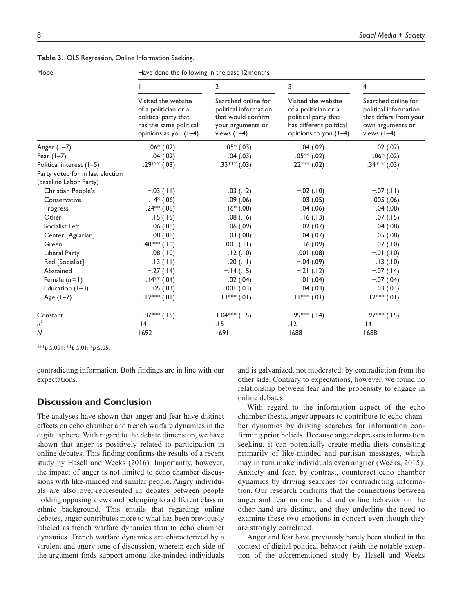| Model                                                      | Have done the following in the past 12 months                                                                            |                                                                                                          |                                                                                                                         |                                                                                                             |
|------------------------------------------------------------|--------------------------------------------------------------------------------------------------------------------------|----------------------------------------------------------------------------------------------------------|-------------------------------------------------------------------------------------------------------------------------|-------------------------------------------------------------------------------------------------------------|
|                                                            |                                                                                                                          | $\overline{2}$                                                                                           | 3                                                                                                                       | 4                                                                                                           |
|                                                            | Visited the website<br>of a politician or a<br>political party that<br>has the same political<br>opinions as you $(1-4)$ | Searched online for<br>political information<br>that would confirm<br>your arguments or<br>views $(1-4)$ | Visited the website<br>of a politician or a<br>political party that<br>has different political<br>opinions to you (1-4) | Searched online for<br>political information<br>that differs from your<br>own arguments or<br>views $(1-4)$ |
| Anger (1–7)                                                | $.06*(.02)$                                                                                                              | $.05*(.03)$                                                                                              | .04(.02)                                                                                                                | .02(.02)                                                                                                    |
| Fear $(1-7)$                                               | .04(.02)                                                                                                                 | .04(.03)                                                                                                 | $.05**(.02)$                                                                                                            | $.06*(.02)$                                                                                                 |
| Political interest (1-5)                                   | .29*** (.03)                                                                                                             | $.33***$ (.03)                                                                                           | .22*** $(.02)$                                                                                                          | $.34*** (.03)$                                                                                              |
| Party voted for in last election<br>(baseline Labor Party) |                                                                                                                          |                                                                                                          |                                                                                                                         |                                                                                                             |
| Christian People's                                         | $-.03$ (.11)                                                                                                             | .03(.12)                                                                                                 | $-.02(.10)$                                                                                                             | $-.07(.11)$                                                                                                 |
| Conservative                                               | $.14*(.06)$                                                                                                              | .09(.06)                                                                                                 | .03(.05)                                                                                                                | .005(.06)                                                                                                   |
| Progress                                                   | .24 <sup>**</sup> (.08)                                                                                                  | $.16*(.08)$                                                                                              | .04(.06)                                                                                                                | .04(.08)                                                                                                    |
| Other                                                      | .15(.15)                                                                                                                 | $-.08$ (.16)                                                                                             | $-.16(.13)$                                                                                                             | $-.07(.15)$                                                                                                 |
| Socialist Left                                             | .06(.08)                                                                                                                 | .06(.09)                                                                                                 | $-.02(.07)$                                                                                                             | .04(.08)                                                                                                    |
| Center [Agrarian]                                          | .08(.08)                                                                                                                 | $.03$ $(.08)$                                                                                            | $-.04(.07)$                                                                                                             | $-.05(.08)$                                                                                                 |
| Green                                                      | .40*** $(.10)$                                                                                                           | $-0.01$ (.11)                                                                                            | .16(0.09)                                                                                                               | .07(.10)                                                                                                    |
| Liberal Party                                              | .08(.10)                                                                                                                 | .12(.10)                                                                                                 | $.001$ $(.08)$                                                                                                          | $-.01$ (.10)                                                                                                |
| Red [Socialist]                                            | .13(.11)                                                                                                                 | .20(.11)                                                                                                 | $-.04(.09)$                                                                                                             | .13(.10)                                                                                                    |
| Abstained                                                  | $-.27(.14)$                                                                                                              | $-.14(.15)$                                                                                              | $-.21(.12)$                                                                                                             | $-.07(.14)$                                                                                                 |
| Female $(n=1)$                                             | $.14***$ (.04)                                                                                                           | .02(.04)                                                                                                 | $.01$ $(.04)$                                                                                                           | $-.07(.04)$                                                                                                 |
| Education $(1-3)$                                          | $-.05(.03)$                                                                                                              | $-.001$ (.03)                                                                                            | $-.04(.03)$                                                                                                             | $-.03(.03)$                                                                                                 |
| Age $(1-7)$                                                | $-12***$ (.01)                                                                                                           | $-13$ ** (.01)                                                                                           | $-11$ *** (.01)                                                                                                         | $-.12***(.01)$                                                                                              |
| Constant                                                   | .87*** $(.15)$                                                                                                           | $1.04***$ (.15)                                                                                          | .99*** $(.14)$                                                                                                          | $.97***$ (.15)                                                                                              |
| $R^2$                                                      | .14                                                                                                                      | .15                                                                                                      | .12                                                                                                                     | .14                                                                                                         |
| N                                                          | 1692                                                                                                                     | 1691                                                                                                     | 1688                                                                                                                    | 1688                                                                                                        |

**Table 3.** OLS Regression, Online Information Seeking.

\*\*\**p*≤.001; \*\**p*≤.01; \**p*≤.05.

contradicting information. Both findings are in line with our expectations.

### **Discussion and Conclusion**

The analyses have shown that anger and fear have distinct effects on echo chamber and trench warfare dynamics in the digital sphere. With regard to the debate dimension, we have shown that anger is positively related to participation in online debates. This finding confirms the results of a recent study by Hasell and Weeks (2016). Importantly, however, the impact of anger is not limited to echo chamber discussions with like-minded and similar people. Angry individuals are also over-represented in debates between people holding opposing views and belonging to a different class or ethnic background. This entails that regarding online debates, anger contributes more to what has been previously labeled as trench warfare dynamics than to echo chamber dynamics. Trench warfare dynamics are characterized by a virulent and angry tone of discussion, wherein each side of the argument finds support among like-minded individuals and is galvanized, not moderated, by contradiction from the other side. Contrary to expectations, however, we found no relationship between fear and the propensity to engage in online debates.

With regard to the information aspect of the echo chamber thesis, anger appears to contribute to echo chamber dynamics by driving searches for information confirming prior beliefs. Because anger depresses information seeking, it can potentially create media diets consisting primarily of like-minded and partisan messages, which may in turn make individuals even angrier (Weeks, 2015). Anxiety and fear, by contrast, counteract echo chamber dynamics by driving searches for contradicting information. Our research confirms that the connections between anger and fear on one hand and online behavior on the other hand are distinct, and they underline the need to examine these two emotions in concert even though they are strongly correlated.

Anger and fear have previously barely been studied in the context of digital political behavior (with the notable exception of the aforementioned study by Hasell and Weeks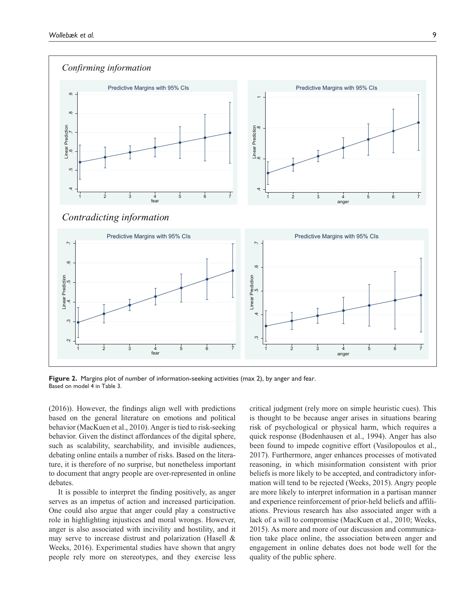

**Figure 2.** Margins plot of number of information-seeking activities (max 2), by anger and fear. Based on model 4 in Table 3.

(2016)). However, the findings align well with predictions based on the general literature on emotions and political behavior (MacKuen et al., 2010). Anger is tied to risk-seeking behavior. Given the distinct affordances of the digital sphere, such as scalability, searchability, and invisible audiences, debating online entails a number of risks. Based on the literature, it is therefore of no surprise, but nonetheless important to document that angry people are over-represented in online debates.

It is possible to interpret the finding positively, as anger serves as an impetus of action and increased participation. One could also argue that anger could play a constructive role in highlighting injustices and moral wrongs. However, anger is also associated with incivility and hostility, and it may serve to increase distrust and polarization (Hasell & Weeks, 2016). Experimental studies have shown that angry people rely more on stereotypes, and they exercise less

critical judgment (rely more on simple heuristic cues). This is thought to be because anger arises in situations bearing risk of psychological or physical harm, which requires a quick response (Bodenhausen et al., 1994). Anger has also been found to impede cognitive effort (Vasilopoulos et al., 2017). Furthermore, anger enhances processes of motivated reasoning, in which misinformation consistent with prior beliefs is more likely to be accepted, and contradictory information will tend to be rejected (Weeks, 2015). Angry people are more likely to interpret information in a partisan manner and experience reinforcement of prior-held beliefs and affiliations. Previous research has also associated anger with a lack of a will to compromise (MacKuen et al., 2010; Weeks, 2015). As more and more of our discussion and communication take place online, the association between anger and engagement in online debates does not bode well for the quality of the public sphere.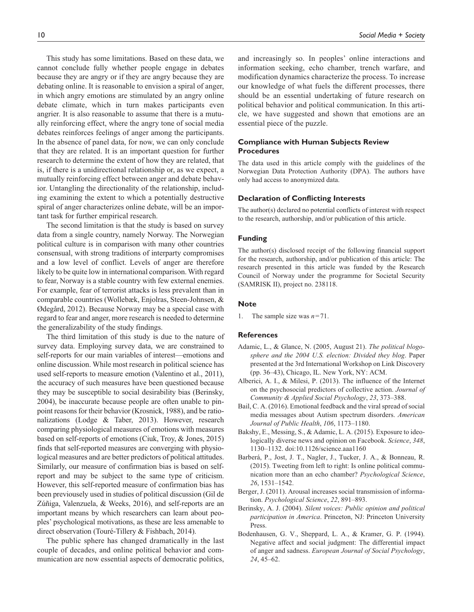This study has some limitations. Based on these data, we cannot conclude fully whether people engage in debates because they are angry or if they are angry because they are debating online. It is reasonable to envision a spiral of anger, in which angry emotions are stimulated by an angry online debate climate, which in turn makes participants even angrier. It is also reasonable to assume that there is a mutually reinforcing effect, where the angry tone of social media debates reinforces feelings of anger among the participants. In the absence of panel data, for now, we can only conclude that they are related. It is an important question for further research to determine the extent of how they are related, that is, if there is a unidirectional relationship or, as we expect, a mutually reinforcing effect between anger and debate behavior. Untangling the directionality of the relationship, including examining the extent to which a potentially destructive spiral of anger characterizes online debate, will be an important task for further empirical research.

The second limitation is that the study is based on survey data from a single country, namely Norway. The Norwegian political culture is in comparison with many other countries consensual, with strong traditions of interparty compromises and a low level of conflict. Levels of anger are therefore likely to be quite low in international comparison. With regard to fear, Norway is a stable country with few external enemies. For example, fear of terrorist attacks is less prevalent than in comparable countries (Wollebæk, Enjolras, Steen-Johnsen, & Ødegård, 2012). Because Norway may be a special case with regard to fear and anger, more research is needed to determine the generalizability of the study findings.

The third limitation of this study is due to the nature of survey data. Employing survey data, we are constrained to self-reports for our main variables of interest—emotions and online discussion. While most research in political science has used self-reports to measure emotion (Valentino et al., 2011), the accuracy of such measures have been questioned because they may be susceptible to social desirability bias (Berinsky, 2004), be inaccurate because people are often unable to pinpoint reasons for their behavior (Krosnick, 1988), and be rationalizations (Lodge & Taber, 2013). However, research comparing physiological measures of emotions with measures based on self-reports of emotions (Ciuk, Troy, & Jones, 2015) finds that self-reported measures are converging with physiological measures and are better predictors of political attitudes. Similarly, our measure of confirmation bias is based on selfreport and may be subject to the same type of criticism. However, this self-reported measure of confirmation bias has been previousely used in studies of political discussion (Gil de Zúñiga, Valenzuela, & Weeks, 2016), and self-reports are an important means by which researchers can learn about peoples' psychological motivations, as these are less amenable to direct observation (Touré-Tillery & Fishbach, 2014).

The public sphere has changed dramatically in the last couple of decades, and online political behavior and communication are now essential aspects of democratic politics,

and increasingly so. In peoples' online interactions and information seeking, echo chamber, trench warfare, and modification dynamics characterize the process. To increase our knowledge of what fuels the different processes, there should be an essential undertaking of future research on political behavior and political communication. In this article, we have suggested and shown that emotions are an essential piece of the puzzle.

### **Compliance with Human Subjects Review Procedures**

The data used in this article comply with the guidelines of the Norwegian Data Protection Authority (DPA). The authors have only had access to anonymized data.

#### **Declaration of Conflicting Interests**

The author(s) declared no potential conflicts of interest with respect to the research, authorship, and/or publication of this article.

### **Funding**

The author(s) disclosed receipt of the following financial support for the research, authorship, and/or publication of this article: The research presented in this article was funded by the Research Council of Norway under the programme for Societal Security (SAMRISK II), project no. 238118.

#### **Note**

1. The sample size was *n*=71.

#### **References**

- Adamic, L., & Glance, N. (2005, August 21). *The political blogosphere and the 2004 U.S. election: Divided they blog*. Paper presented at the 3rd International Workshop on Link Discovery (pp. 36–43), Chicago, IL. New York, NY: ACM.
- Alberici, A. I., & Milesi, P. (2013). The influence of the Internet on the psychosocial predictors of collective action. *Journal of Community & Applied Social Psychology*, *23*, 373–388.
- Bail, C. A. (2016). Emotional feedback and the viral spread of social media messages about Autism spectrum disorders. *American Journal of Public Health*, *106*, 1173–1180.
- Bakshy, E., Messing, S., & Adamic, L. A. (2015). Exposure to ideologically diverse news and opinion on Facebook. *Science*, *348*, 1130–1132. doi:10.1126/science.aaa1160
- Barberá, P., Jost, J. T., Nagler, J., Tucker, J. A., & Bonneau, R. (2015). Tweeting from left to right: Is online political communication more than an echo chamber? *Psychological Science*, *26*, 1531–1542.
- Berger, J. (2011). Arousal increases social transmission of information. *Psychological Science*, *22*, 891–893.
- Berinsky, A. J. (2004). *Silent voices: Public opinion and political participation in America*. Princeton, NJ: Princeton University Press.
- Bodenhausen, G. V., Sheppard, L. A., & Kramer, G. P. (1994). Negative affect and social judgment: The differential impact of anger and sadness. *European Journal of Social Psychology*, *24*, 45–62.

### 10 *Social Media + Society*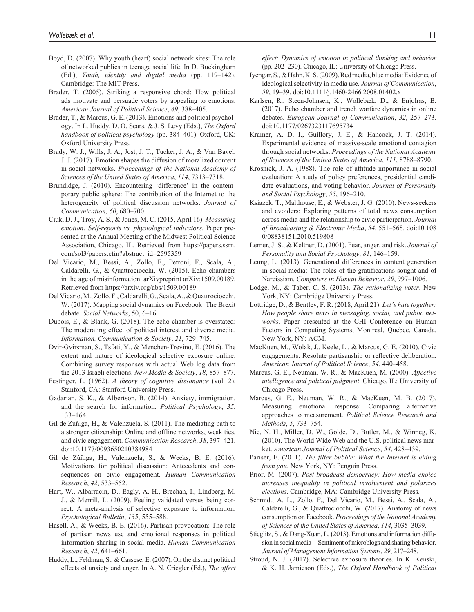- Boyd, D. (2007). Why youth (heart) social network sites: The role of networked publics in teenage social life. In D. Buckingham (Ed.), *Youth, identity and digital media* (pp. 119–142). Cambridge: The MIT Press.
- Brader, T. (2005). Striking a responsive chord: How political ads motivate and persuade voters by appealing to emotions. *American Journal of Political Science*, *49*, 388–405.
- Brader, T., & Marcus, G. E. (2013). Emotions and political psychology. In L. Huddy, D. O. Sears, & J. S. Levy (Eds.), *The Oxford handbook of political psychology* (pp. 384–401). Oxford, UK: Oxford University Press.
- Brady, W. J., Wills, J. A., Jost, J. T., Tucker, J. A., & Van Bavel, J. J. (2017). Emotion shapes the diffusion of moralized content in social networks. *Proceedings of the National Academy of Sciences of the United States of America*, *114*, 7313–7318.
- Brundidge, J. (2010). Encountering 'difference' in the contemporary public sphere: The contribution of the Internet to the heterogeneity of political discussion networks. *Journal of Communication, 60*, 680–700.
- Ciuk, D. J., Troy, A. S., & Jones, M. C. (2015, April 16). *Measuring emotion: Self-reports vs. physiological indicators*. Paper presented at the Annual Meeting of the Midwest Political Science Association, Chicago, IL. Retrieved from [https://papers.ssrn.](https://papers.ssrn.com/sol3/papers.cfm?abstract_id=2595359) [com/sol3/papers.cfm?abstract\\_id=2595359](https://papers.ssrn.com/sol3/papers.cfm?abstract_id=2595359)
- Del Vicario, M., Bessi, A., Zollo, F., Petroni, F., Scala, A., Caldarelli, G., & Quattrociocchi, W. (2015). Echo chambers in the age of misinformation. arXivpreprint arXiv:1509.00189. Retrieved from <https://arxiv.org/abs/1509.00189>
- Del Vicario, M., Zollo, F., Caldarelli, G., Scala, A., & Quattrociocchi, W. (2017). Mapping social dynamics on Facebook: The Brexit debate. *Social Networks*, 50, 6–16.
- Dubois, E., & Blank, G. (2018). The echo chamber is overstated: The moderating effect of political interest and diverse media. *Information, Communication & Society*, *21*, 729–745.
- Dvir-Gvirsman, S., Tsfati, Y., & Menchen-Trevino, E. (2016). The extent and nature of ideological selective exposure online: Combining survey responses with actual Web log data from the 2013 Israeli elections. *New Media & Society*, *18*, 857–877.
- Festinger, L. (1962). *A theory of cognitive dissonance* (vol. 2). Stanford, CA: Stanford University Press.
- Gadarian, S. K., & Albertson, B. (2014). Anxiety, immigration, and the search for information. *Political Psychology*, *35*, 133–164.
- Gil de Zúñiga, H., & Valenzuela, S. (2011). The mediating path to a stronger citizenship: Online and offline networks, weak ties, and civic engagement. *Communication Research*, *38*, 397–421. doi:10.1177/0093650210384984
- Gil de Zúñiga, H., Valenzuela, S., & Weeks, B. E. (2016). Motivations for political discussion: Antecedents and consequences on civic engagement. *Human Communication Research*, *42*, 533–552.
- Hart, W., Albarracín, D., Eagly, A. H., Brechan, I., Lindberg, M. J., & Merrill, L. (2009). Feeling validated versus being correct: A meta-analysis of selective exposure to information. *Psychological Bulletin*, *135*, 555–588.
- Hasell, A., & Weeks, B. E. (2016). Partisan provocation: The role of partisan news use and emotional responses in political information sharing in social media. *Human Communication Research*, *42*, 641–661.
- Huddy, L., Feldman, S., & Cassese, E. (2007). On the distinct political effects of anxiety and anger. In A. N. Criegler (Ed.), *The affect*

*effect: Dynamics of emotion in political thinking and behavior* (pp. 202–230). Chicago, IL: University of Chicago Press.

- Iyengar, S., & Hahn, K. S. (2009). Red media, blue media: Evidence of ideological selectivity in media use. *Journal of Communication*, *59*, 19–39. doi:10.1111/j.1460-2466.2008.01402.x
- Karlsen, R., Steen-Johnsen, K., Wollebæk, D., & Enjolras, B. (2017). Echo chamber and trench warfare dynamics in online debates. *European Journal of Communication*, *32*, 257–273. doi:10.1177/0267323117695734
- Kramer, A. D. I., Guillory, J. E., & Hancock, J. T. (2014). Experimental evidence of massive-scale emotional contagion through social networks. *Proceedings of the National Academy of Sciences of the United States of America*, *111*, 8788–8790.
- Krosnick, J. A. (1988). The role of attitude importance in social evaluation: A study of policy preferences, presidential candidate evaluations, and voting behavior. *Journal of Personality and Social Psychology*, *55*, 196–210.
- Ksiazek, T., Malthouse, E., & Webster, J. G. (2010). News-seekers and avoiders: Exploring patterns of total news consumption across media and the relationship to civic participation. *Journal of Broadcasting & Electronic Media*, *54*, 551–568. doi:10.108 0/08838151.2010.519808
- Lerner, J. S., & Keltner, D. (2001). Fear, anger, and risk. *Journal of Personality and Social Psychology*, *81*, 146–159.
- Leung, L. (2013). Generational differences in content generation in social media: The roles of the gratifications sought and of Narcissism. *Computers in Human Behavior*, *29*, 997–1006.
- Lodge, M., & Taber, C. S. (2013). *The rationalizing voter*. New York, NY: Cambridge University Press.
- Lottridge, D., & Bentley, F. R. (2018, April 21). *Let's hate together: How people share news in messaging, social, and public networks*. Paper presented at the CHI Conference on Human Factors in Computing Systems, Montreal, Quebec, Canada. New York, NY: ACM.
- MacKuen, M., Wolak, J., Keele, L., & Marcus, G. E. (2010). Civic engagements: Resolute partisanship or reflective deliberation. *American Journal of Political Science*, *54*, 440–458.
- Marcus, G. E., Neuman, W. R., & MacKuen, M. (2000). *Affective intelligence and political judgment*. Chicago, IL: University of Chicago Press.
- Marcus, G. E., Neuman, W. R., & MacKuen, M. B. (2017). Measuring emotional response: Comparing alternative approaches to measurement. *Political Science Research and Methods*, *5*, 733–754.
- Nie, N. H., Miller, D. W., Golde, D., Butler, M., & Winneg, K. (2010). The World Wide Web and the U.S. political news market. *American Journal of Political Science*, *54*, 428–439.
- Pariser, E. (2011). *The filter bubble: What the Internet is hiding from you*. New York, NY: Penguin Press.
- Prior, M. (2007). *Post-broadcast democracy: How media choice increases inequality in political involvement and polarizes elections*. Cambridge, MA: Cambridge University Press.
- Schmidt, A. L., Zollo, F., Del Vicario, M., Bessi, A., Scala, A., Caldarelli, G., & Quattrociocchi, W. (2017). Anatomy of news consumption on Facebook. *Proceedings of the National Academy of Sciences of the United States of America*, *114*, 3035–3039.
- Stieglitz, S., & Dang-Xuan, L. (2013). Emotions and information diffusion in social media—Sentiment of microblogs and sharing behavior. *Journal of Management Information Systems*, *29*, 217–248.
- Stroud, N. J. (2017). Selective exposure theories. In K. Kenski, & K. H. Jamieson (Eds.), *The Oxford Handbook of Political*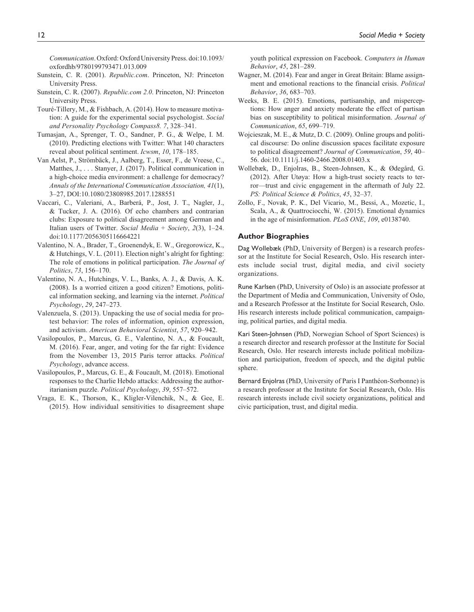*Communication*. Oxford: Oxford University Press. doi:10.1093/ oxfordhb/9780199793471.013.009

- Sunstein, C. R. (2001). *Republic.com*. Princeton, NJ: Princeton University Press.
- Sunstein, C. R. (2007). *Republic.com 2.0*. Princeton, NJ: Princeton University Press.
- Touré-Tillery, M., & Fishbach, A. (2014). How to measure motivation: A guide for the experimental social psychologist. *Social and Personality Psychology Compass8. 7*, 328–341.
- Tumasjan, A., Sprenger, T. O., Sandner, P. G., & Welpe, I. M. (2010). Predicting elections with Twitter: What 140 characters reveal about political sentiment. *Icwsm*, *10*, 178–185.
- Van Aelst, P., Strömbäck, J., Aalberg, T., Esser, F., de Vreese, C., Matthes, J., . . . Stanyer, J. (2017). Political communication in a high-choice media environment: a challenge for democracy? *Annals of the International Communication Association, 41*(1), 3–27, DOI:10.1080/23808985.2017.1288551
- Vaccari, C., Valeriani, A., Barberá, P., Jost, J. T., Nagler, J., & Tucker, J. A. (2016). Of echo chambers and contrarian clubs: Exposure to political disagreement among German and Italian users of Twitter. *Social Media* + *Society*, *2*(3), 1–24. doi:10.1177/2056305116664221
- Valentino, N. A., Brader, T., Groenendyk, E. W., Gregorowicz, K., & Hutchings, V. L. (2011). Election night's alright for fighting: The role of emotions in political participation. *The Journal of Politics*, *73*, 156–170.
- Valentino, N. A., Hutchings, V. L., Banks, A. J., & Davis, A. K. (2008). Is a worried citizen a good citizen? Emotions, political information seeking, and learning via the internet. *Political Psychology*, *29*, 247–273.
- Valenzuela, S. (2013). Unpacking the use of social media for protest behavior: The roles of information, opinion expression, and activism. *American Behavioral Scientist*, *57*, 920–942.
- Vasilopoulos, P., Marcus, G. E., Valentino, N. A., & Foucault, M. (2016). Fear, anger, and voting for the far right: Evidence from the November 13, 2015 Paris terror attacks. *Political Psychology*, advance access.
- Vasilopoulos, P., Marcus, G. E., & Foucault, M. (2018). Emotional responses to the Charlie Hebdo attacks: Addressing the authoritarianism puzzle. *Political Psychology*, *39*, 557–572.
- Vraga, E. K., Thorson, K., Kligler-Vilenchik, N., & Gee, E. (2015). How individual sensitivities to disagreement shape

youth political expression on Facebook. *Computers in Human Behavior*, *45*, 281–289.

- Wagner, M. (2014). Fear and anger in Great Britain: Blame assignment and emotional reactions to the financial crisis. *Political Behavior*, *36*, 683–703.
- Weeks, B. E. (2015). Emotions, partisanship, and misperceptions: How anger and anxiety moderate the effect of partisan bias on susceptibility to political misinformation. *Journal of Communication*, *65*, 699–719.
- Wojcieszak, M. E., & Mutz, D. C. (2009). Online groups and political discourse: Do online discussion spaces facilitate exposure to political disagreement? *Journal of Communication*, *59*, 40– 56. doi:10.1111/j.1460-2466.2008.01403.x
- Wollebæk, D., Enjolras, B., Steen-Johnsen, K., & Ødegård, G. (2012). After Utøya: How a high-trust society reacts to terror—trust and civic engagement in the aftermath of July 22. *PS: Political Science & Politics*, *45*, 32–37.
- Zollo, F., Novak, P. K., Del Vicario, M., Bessi, A., Mozetic, I., Scala, A., & Quattrociocchi, W. (2015). Emotional dynamics in the age of misinformation. *PLoS ONE*, *109*, e0138740.

#### **Author Biographies**

Dag Wollebæk (PhD, University of Bergen) is a research professor at the Institute for Social Research, Oslo. His research interests include social trust, digital media, and civil society organizations.

Rune Karlsen (PhD, University of Oslo) is an associate professor at the Department of Media and Communication, University of Oslo, and a Research Professor at the Institute for Social Research, Oslo. His research interests include political communication, campaigning, political parties, and digital media.

Kari Steen-Johnsen (PhD, Norwegian School of Sport Sciences) is a research director and research professor at the Institute for Social Research, Oslo. Her research interests include political mobilization and participation, freedom of speech, and the digital public sphere.

Bernard Enjolras (PhD, University of Paris I Panthéon-Sorbonne) is a research professor at the Institute for Social Research, Oslo. His research interests include civil society organizations, political and civic participation, trust, and digital media.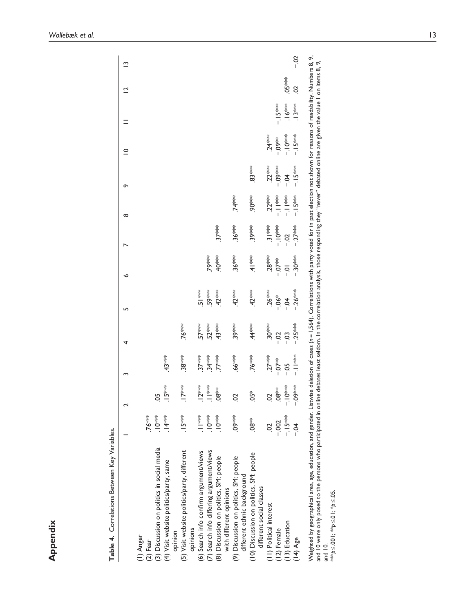| ׇ֚֕֕<br>֕        |
|------------------|
| ï<br>١           |
| l<br>֕<br>ļ<br>֕ |
|                  |
| l                |
| l                |
| ı                |

| Table 4. Correlations Between Key Variables.                          |               | $\sim$        | S          | 4        | LO <sub>1</sub> | ç                | $\overline{\phantom{0}}$ | $\infty$                                        | ò          | $\subseteq$            | Ξ        | $\overline{C}$ | ≅     |
|-----------------------------------------------------------------------|---------------|---------------|------------|----------|-----------------|------------------|--------------------------|-------------------------------------------------|------------|------------------------|----------|----------------|-------|
|                                                                       |               |               |            |          |                 |                  |                          |                                                 |            |                        |          |                |       |
| I) Anger                                                              |               |               |            |          |                 |                  |                          |                                                 |            |                        |          |                |       |
| $(2)$ Fear                                                            | $.76***$      |               |            |          |                 |                  |                          |                                                 |            |                        |          |                |       |
| (3) Discussion on politics in social media                            | ***0-.        | 5°            |            |          |                 |                  |                          |                                                 |            |                        |          |                |       |
| (4) Visit website politics/party, same<br>opinion                     | $.14***$      | $.15***$      | $.43***$   |          |                 |                  |                          |                                                 |            |                        |          |                |       |
| (5) Visit website politics/party, different<br>opinions               | $.15***$      | $17***$       | $.38***$   | .76***   |                 |                  |                          |                                                 |            |                        |          |                |       |
| (6) Search info confirm argument/views                                | $\frac{1}{2}$ | $.12***$      | $37***$    | $57***$  | š≉<br>.5        |                  |                          |                                                 |            |                        |          |                |       |
| (7) Search info differing argument/views                              | $-10^{***}$   | $\frac{1}{2}$ | $.34***$   | $52***$  | <b>.59***</b>   | .79***           |                          |                                                 |            |                        |          |                |       |
| (8) Discussion on politics, SM: people<br>with different opinions     | $-10***$      | $.08^{**}$    | $.77***$   | $.43***$ | $.42***$        | .40***           | $37***$                  |                                                 |            |                        |          |                |       |
| (9) Discussion on politics, SM: people<br>different ethnic background | $.09***$      | S             | $.66***$   | $.39***$ | $.42***$        | $.36***$         | $.36***$                 | $.74***$                                        |            |                        |          |                |       |
| 10) Discussion on politics, SM: people<br>different social classes    | $.08**$       | $05*$         | $.76***$   | $.44***$ | $.42***$        | $-4$   ***       | $.39***$                 | $90**$                                          | $.83***$   |                        |          |                |       |
| 11) Political interest                                                | S             | S             | $.27***$   | $30***$  | $.26***$        | $.28***$         | $\frac{3}{3}$ is set     | $.22***$                                        | $.22***$   | $24***$                |          |                |       |
| 12) Female                                                            | $-0.002$      | $38*$         | $-0.07$    | $-0.2$   | $-06*$          | $-7*$            | ***OT-                   | $\frac{1}{2}$                                   | $-0.09***$ | <b><del>≸60</del>.</b> | $-15***$ |                |       |
| 13) Education                                                         | $-15***$      | $-10^{***}$   | $-0.5$     | $-03$    | $-0.4$          | $\overline{0}$ . | $-0.2$                   | $\frac{1}{3}$<br>$\frac{1}{3}$<br>$\frac{1}{3}$ | $-0.4$     | ***Ol.-                | ,\6**    | $.05***$       |       |
| $(14)$ Age                                                            | $\frac{1}{2}$ | $-0.00$       | $-1$   *** | $-25***$ | $-26***$        | $-30**$          | $-27***$                 | $-15$ ***                                       | –. I 5***  | $-15$ **               | $.13***$ | S              | $-02$ |